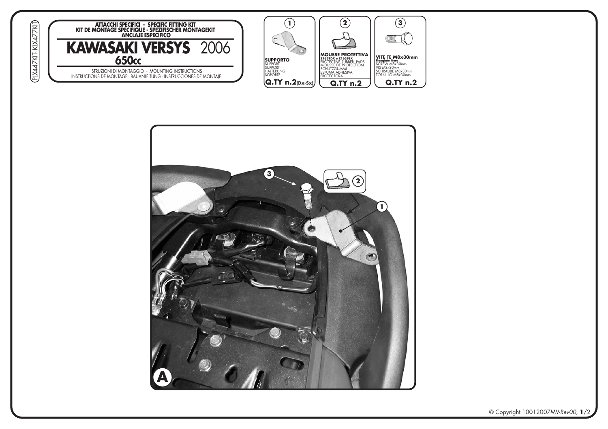